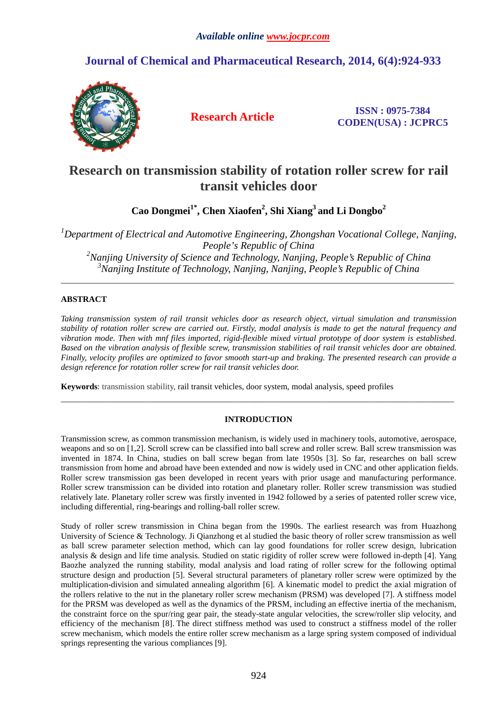## **Journal of Chemical and Pharmaceutical Research, 2014, 6(4):924-933**



**Research Article ISSN : 0975-7384 CODEN(USA) : JCPRC5**

# **Research on transmission stability of rotation roller screw for rail transit vehicles door**

**Cao Dongmei1\*, Chen Xiaofen<sup>2</sup> , Shi Xiang<sup>3</sup>and Li Dongbo<sup>2</sup>**

*Department of Electrical and Automotive Engineering, Zhongshan Vocational College, Nanjing, People's Republic of China Nanjing University of Science and Technology, Nanjing, People's Republic of China Nanjing Institute of Technology, Nanjing, Nanjing, People's Republic of China* 

\_\_\_\_\_\_\_\_\_\_\_\_\_\_\_\_\_\_\_\_\_\_\_\_\_\_\_\_\_\_\_\_\_\_\_\_\_\_\_\_\_\_\_\_\_\_\_\_\_\_\_\_\_\_\_\_\_\_\_\_\_\_\_\_\_\_\_\_\_\_\_\_\_\_\_\_\_\_\_\_\_\_\_\_\_\_\_\_\_\_\_\_\_

### **ABSTRACT**

*Taking transmission system of rail transit vehicles door as research object, virtual simulation and transmission stability of rotation roller screw are carried out. Firstly, modal analysis is made to get the natural frequency and vibration mode. Then with mnf files imported, rigid-flexible mixed virtual prototype of door system is established. Based on the vibration analysis of flexible screw, transmission stabilities of rail transit vehicles door are obtained. Finally, velocity profiles are optimized to favor smooth start-up and braking. The presented research can provide a design reference for rotation roller screw for rail transit vehicles door.* 

**Keywords**: transmission stability, rail transit vehicles, door system, modal analysis, speed profiles

## **INTRODUCTION**

 $\overline{a}$  , and the contribution of the contribution of the contribution of the contribution of the contribution of the contribution of the contribution of the contribution of the contribution of the contribution of the co

Transmission screw, as common transmission mechanism, is widely used in machinery tools, automotive, aerospace, weapons and so on [1,2]. Scroll screw can be classified into ball screw and roller screw. Ball screw transmission was invented in 1874. In China, studies on ball screw began from late 1950s [3]. So far, researches on ball screw transmission from home and abroad have been extended and now is widely used in CNC and other application fields. Roller screw transmission gas been developed in recent years with prior usage and manufacturing performance. Roller screw transmission can be divided into rotation and planetary roller. Roller screw transmission was studied relatively late. Planetary roller screw was firstly invented in 1942 followed by a series of patented roller screw vice, including differential, ring-bearings and rolling-ball roller screw.

Study of roller screw transmission in China began from the 1990s. The earliest research was from Huazhong University of Science & Technology. Ji Qianzhong et al studied the basic theory of roller screw transmission as well as ball screw parameter selection method, which can lay good foundations for roller screw design, lubrication analysis & design and life time analysis. Studied on static rigidity of roller screw were followed in-depth [4]. Yang Baozhe analyzed the running stability, modal analysis and load rating of roller screw for the following optimal structure design and production [5]. Several structural parameters of planetary roller screw were optimized by the multiplication-division and simulated annealing algorithm [6]. A kinematic model to predict the axial migration of the rollers relative to the nut in the planetary roller screw mechanism (PRSM) was developed [7]. A stiffness model for the PRSM was developed as well as the dynamics of the PRSM, including an effective inertia of the mechanism, the constraint force on the spur/ring gear pair, the steady-state angular velocities, the screw/roller slip velocity, and efficiency of the mechanism [8]. The direct stiffness method was used to construct a stiffness model of the roller screw mechanism, which models the entire roller screw mechanism as a large spring system composed of individual springs representing the various compliances [9].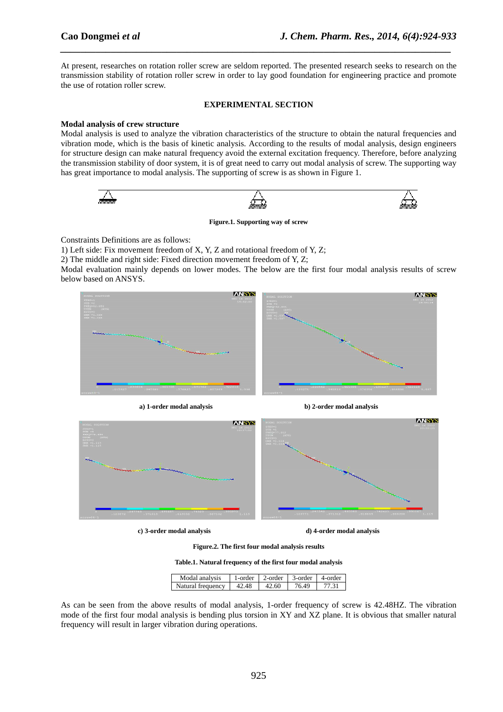At present, researches on rotation roller screw are seldom reported. The presented research seeks to research on the transmission stability of rotation roller screw in order to lay good foundation for engineering practice and promote the use of rotation roller screw.

*\_\_\_\_\_\_\_\_\_\_\_\_\_\_\_\_\_\_\_\_\_\_\_\_\_\_\_\_\_\_\_\_\_\_\_\_\_\_\_\_\_\_\_\_\_\_\_\_\_\_\_\_\_\_\_\_\_\_\_\_\_\_\_\_\_\_\_\_\_\_\_\_\_\_\_\_\_*

#### **EXPERIMENTAL SECTION**

#### **Modal analysis of crew structure**

Modal analysis is used to analyze the vibration characteristics of the structure to obtain the natural frequencies and vibration mode, which is the basis of kinetic analysis. According to the results of modal analysis, design engineers for structure design can make natural frequency avoid the external excitation frequency. Therefore, before analyzing the transmission stability of door system, it is of great need to carry out modal analysis of screw. The supporting way has great importance to modal analysis. The supporting of screw is as shown in Figure 1.



**Figure.1. Supporting way of screw** 

Constraints Definitions are as follows:

1) Left side: Fix movement freedom of X, Y, Z and rotational freedom of Y, Z;

2) The middle and right side: Fixed direction movement freedom of Y, Z;

Modal evaluation mainly depends on lower modes. The below are the first four modal analysis results of screw below based on ANSYS.





**c) 3-order modal analysis d) 4-order modal analysis** 

**Figure.2. The first four modal analysis results** 

**Table.1. Natural frequency of the first four modal analysis** 

| Modal analysis    | 1-order | $\sqrt{2}$ -order $\sqrt{3}$ -order |       | 4-order |
|-------------------|---------|-------------------------------------|-------|---------|
| Natural frequency | 42.48   | 42.60                               | 76.49 |         |

As can be seen from the above results of modal analysis, 1-order frequency of screw is 42.48HZ. The vibration mode of the first four modal analysis is bending plus torsion in XY and XZ plane. It is obvious that smaller natural frequency will result in larger vibration during operations.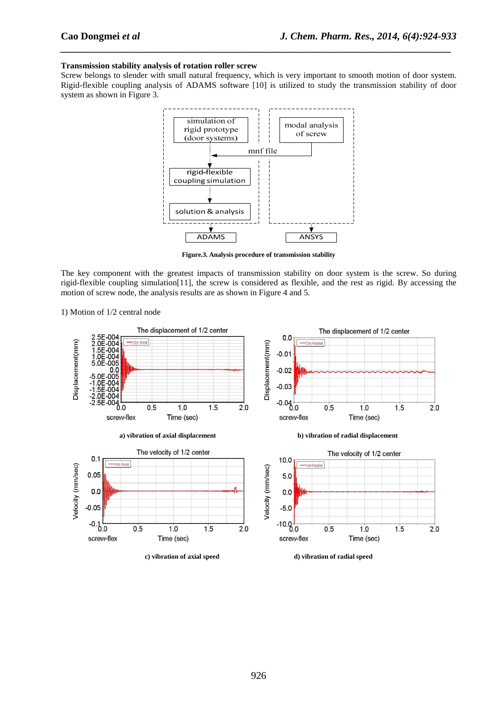#### **Transmission stability analysis of rotation roller screw**

Screw belongs to slender with small natural frequency, which is very important to smooth motion of door system. Rigid-flexible coupling analysis of ADAMS software [10] is utilized to study the transmission stability of door system as shown in Figure 3.

*\_\_\_\_\_\_\_\_\_\_\_\_\_\_\_\_\_\_\_\_\_\_\_\_\_\_\_\_\_\_\_\_\_\_\_\_\_\_\_\_\_\_\_\_\_\_\_\_\_\_\_\_\_\_\_\_\_\_\_\_\_\_\_\_\_\_\_\_\_\_\_\_\_\_\_\_\_*



**Figure.3. Analysis procedure of transmission stability** 

The key component with the greatest impacts of transmission stability on door system is the screw. So during rigid-flexible coupling simulation[11], the screw is considered as flexible, and the rest as rigid. By accessing the motion of screw node, the analysis results are as shown in Figure 4 and 5.



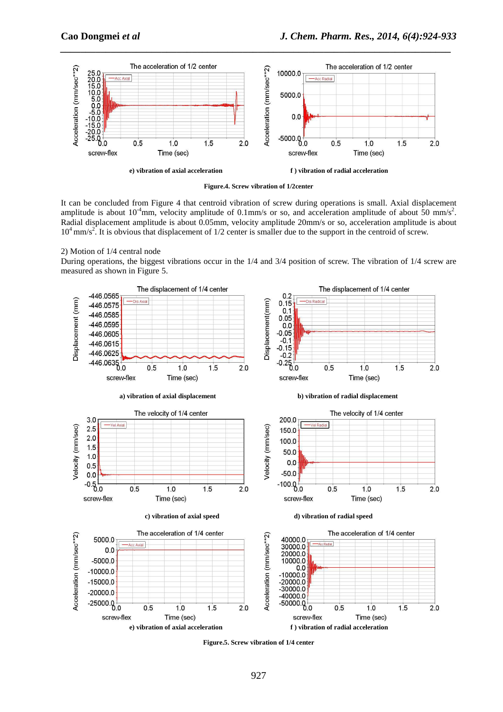

**Figure.4. Screw vibration of 1/2center** 

It can be concluded from Figure 4 that centroid vibration of screw during operations is small. Axial displacement amplitude is about 10<sup>-4</sup>mm, velocity amplitude of 0.1mm/s or so, and acceleration amplitude of about 50 mm/s<sup>2</sup>. Radial displacement amplitude is about 0.05mm, velocity amplitude 20mm/s or so, acceleration amplitude is about  $10^4$  mm/s<sup>2</sup>. It is obvious that displacement of  $1/2$  center is smaller due to the support in the centroid of screw.

2) Motion of 1/4 central node

During operations, the biggest vibrations occur in the 1/4 and 3/4 position of screw. The vibration of 1/4 screw are measured as shown in Figure 5.



**Figure.5. Screw vibration of 1/4 center**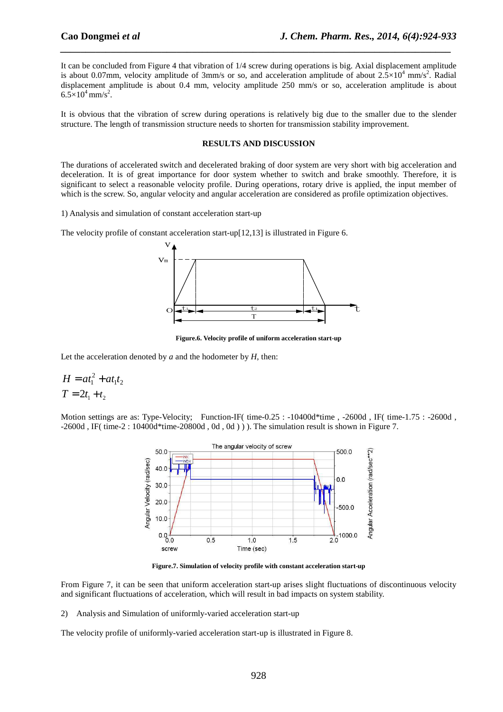It can be concluded from Figure 4 that vibration of 1/4 screw during operations is big. Axial displacement amplitude is about 0.07mm, velocity amplitude of 3mm/s or so, and acceleration amplitude of about  $2.5 \times 10^4$  mm/s<sup>2</sup>. Radial displacement amplitude is about 0.4 mm, velocity amplitude 250 mm/s or so, acceleration amplitude is about  $6.5 \times 10^4$  mm/s<sup>2</sup>.

*\_\_\_\_\_\_\_\_\_\_\_\_\_\_\_\_\_\_\_\_\_\_\_\_\_\_\_\_\_\_\_\_\_\_\_\_\_\_\_\_\_\_\_\_\_\_\_\_\_\_\_\_\_\_\_\_\_\_\_\_\_\_\_\_\_\_\_\_\_\_\_\_\_\_\_\_\_*

It is obvious that the vibration of screw during operations is relatively big due to the smaller due to the slender structure. The length of transmission structure needs to shorten for transmission stability improvement.

#### **RESULTS AND DISCUSSION**

The durations of accelerated switch and decelerated braking of door system are very short with big acceleration and deceleration. It is of great importance for door system whether to switch and brake smoothly. Therefore, it is significant to select a reasonable velocity profile. During operations, rotary drive is applied, the input member of which is the screw. So, angular velocity and angular acceleration are considered as profile optimization objectives.

1) Analysis and simulation of constant acceleration start-up

The velocity profile of constant acceleration start-up[12,13] is illustrated in Figure 6.



**Figure.6. Velocity profile of uniform acceleration start-up** 

Let the acceleration denoted by *a* and the hodometer by *H*, then:

$$
H = at_1^2 + at_1t_2
$$
  

$$
T = 2t_1 + t_2
$$

Motion settings are as: Type-Velocity; Function-IF( time-0.25 : -10400d\*time , -2600d , IF( time-1.75 : -2600d ,  $-2600d$ , IF( time-2 :  $10400d*$  time-20800d, 0d, 0d)). The simulation result is shown in Figure 7.



**Figure.7. Simulation of velocity profile with constant acceleration start-up** 

From Figure 7, it can be seen that uniform acceleration start-up arises slight fluctuations of discontinuous velocity and significant fluctuations of acceleration, which will result in bad impacts on system stability.

2) Analysis and Simulation of uniformly-varied acceleration start-up

The velocity profile of uniformly-varied acceleration start-up is illustrated in Figure 8.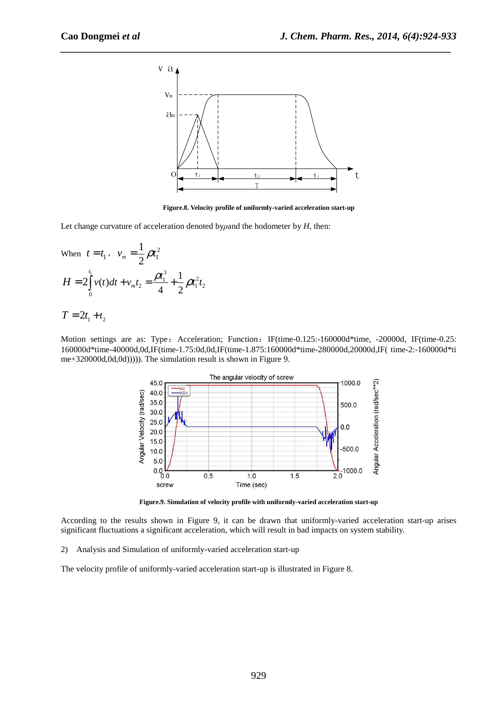

**Figure.8. Velocity profile of uniformly-varied acceleration start-up** 

Let change curvature of acceleration denoted by*ρ*and the hodometer by *H*, then:

When 
$$
t = t_1
$$
,  $v_m = \frac{1}{2}\rho t_1^2$   
\n
$$
H = 2 \int_0^{t_1} v(t) dt + v_m t_2 = \frac{\rho t_1^3}{4} + \frac{1}{2}\rho t_1^2 t_2
$$

$$
T=2t_1+t_2
$$

Motion settings are as: Type: Acceleration; Function: IF(time-0.125:-160000d\*time, -20000d, IF(time-0.25: 160000d\*time-40000d,0d,IF(time-1.75:0d,0d,IF(time-1.875:160000d\*time-280000d,20000d,IF( time-2:-160000d\*ti me+320000d,0d,0d))))). The simulation result is shown in Figure 9.



**Figure.9. Simulation of velocity profile with uniformly-varied acceleration start-up** 

According to the results shown in Figure 9, it can be drawn that uniformly-varied acceleration start-up arises significant fluctuations a significant acceleration, which will result in bad impacts on system stability.

2) Analysis and Simulation of uniformly-varied acceleration start-up

The velocity profile of uniformly-varied acceleration start-up is illustrated in Figure 8.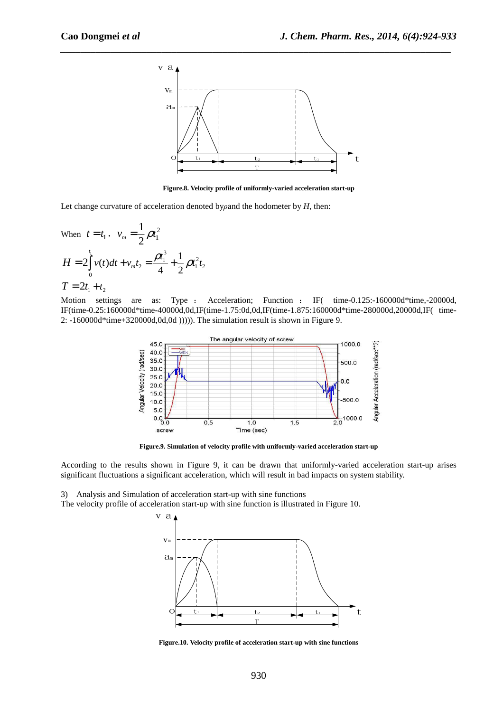

**Figure.8. Velocity profile of uniformly-varied acceleration start-up** 

Let change curvature of acceleration denoted by*ρ*and the hodometer by *H*, then:

When  $t = t_1$ ,  $v_m = \frac{1}{2} \rho t_1^2$ 1 1  $v_m = \frac{1}{2}\rho t$  $\int v(t)dt + v_m t_2 = \frac{\rho t_1^3}{4} + \frac{1}{2}\rho t_1^2 t_2$ 0  $(t)dt + v_{m}t_{2} = \frac{\rho t_{1}^{3}}{1} + \frac{1}{2}$ 4 2 2 *t m*  $H = 2 \int_0^1 v(t) dt + v_m t_2 = \frac{\rho t_1^3}{4} + \frac{1}{2} \rho t_1^2 t_2$ 

$$
T=2t_1+t_2
$$

Motion settings are as: Type : Acceleration; Function : IF( time-0.125:-160000d\*time,-20000d, IF(time-0.25:160000d\*time-40000d,0d,IF(time-1.75:0d,0d,IF(time-1.875:160000d\*time-280000d,20000d,IF( time-2: -160000d\*time+320000d,0d,0d ))))). The simulation result is shown in Figure 9.



**Figure.9. Simulation of velocity profile with uniformly-varied acceleration start-up** 

According to the results shown in Figure 9, it can be drawn that uniformly-varied acceleration start-up arises significant fluctuations a significant acceleration, which will result in bad impacts on system stability.

3) Analysis and Simulation of acceleration start-up with sine functions

The velocity profile of acceleration start-up with sine function is illustrated in Figure 10.



**Figure.10. Velocity profile of acceleration start-up with sine functions**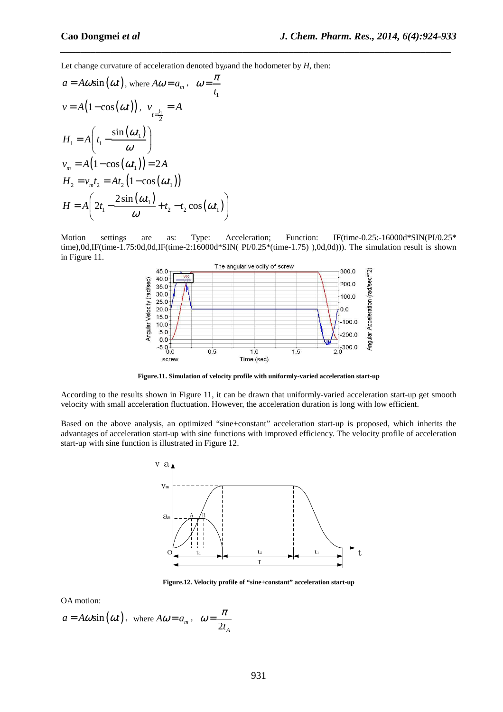Let change curvature of acceleration denoted by*ρ*and the hodometer by *H*, then:

$$
a = A\omega \sin(\omega t), \text{ where } A\omega = a_m, \quad \omega = \frac{\pi}{t_1}
$$
  
\n
$$
v = A(1 - \cos(\omega t)), \quad v_{t = \frac{t_1}{2}} = A
$$
  
\n
$$
H_1 = A\left(t_1 - \frac{\sin(\omega t_1)}{\omega}\right)
$$
  
\n
$$
v_m = A(1 - \cos(\omega t_1)) = 2A
$$
  
\n
$$
H_2 = v_m t_2 = At_2 (1 - \cos(\omega t_1))
$$
  
\n
$$
H = A\left(2t_1 - \frac{2\sin(\omega t_1)}{\omega} + t_2 - t_2\cos(\omega t_1)\right)
$$

Motion settings are as: Type: Acceleration; Function: IF(time-0.25:-16000d\*SIN(PI/0.25\* time),0d,IF(time-1.75:0d,0d,IF(time-2:16000d\*SIN( PI/0.25\*(time-1.75) ),0d,0d))). The simulation result is shown in Figure 11.

*\_\_\_\_\_\_\_\_\_\_\_\_\_\_\_\_\_\_\_\_\_\_\_\_\_\_\_\_\_\_\_\_\_\_\_\_\_\_\_\_\_\_\_\_\_\_\_\_\_\_\_\_\_\_\_\_\_\_\_\_\_\_\_\_\_\_\_\_\_\_\_\_\_\_\_\_\_*



**Figure.11. Simulation of velocity profile with uniformly-varied acceleration start-up** 

According to the results shown in Figure 11, it can be drawn that uniformly-varied acceleration start-up get smooth velocity with small acceleration fluctuation. However, the acceleration duration is long with low efficient.

Based on the above analysis, an optimized "sine+constant" acceleration start-up is proposed, which inherits the advantages of acceleration start-up with sine functions with improved efficiency. The velocity profile of acceleration start-up with sine function is illustrated in Figure 12.



**Figure.12. Velocity profile of "sine+constant" acceleration start-up** 

OA motion:

$$
a = A\omega \sin(\omega t)
$$
, where  $A\omega = a_m$ ,  $\omega = \frac{\pi}{2t_A}$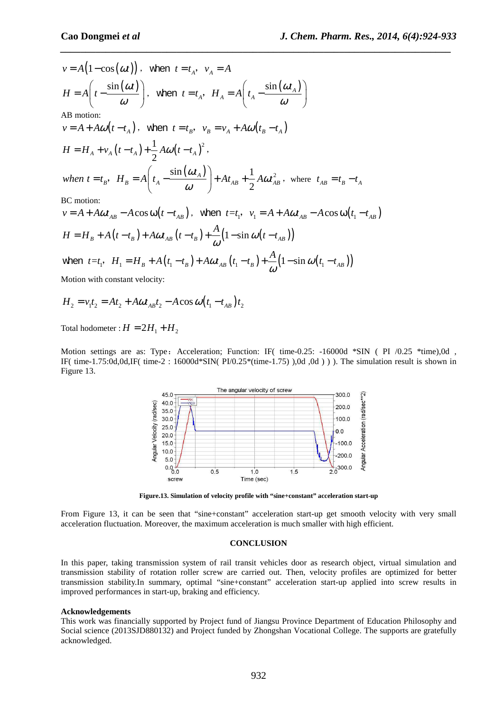$$
v = A(1 - \cos(\omega t)), \text{ when } t = t_A, v_A = A
$$
  
\n
$$
H = A\left(t - \frac{\sin(\omega t)}{\omega}\right), \text{ when } t = t_A, H_A = A\left(t_A - \frac{\sin(\omega t_A)}{\omega}\right)
$$
  
\nAB motion:  
\n
$$
v = A + A\omega(t - t_A), \text{ when } t = t_B, v_B = v_A + A\omega(t_B - t_A)
$$
  
\n
$$
H = H_A + v_A(t - t_A) + \frac{1}{2}A\omega(t - t_A)^2,
$$
  
\n
$$
when t = t_B, H_B = A\left(t_A - \frac{\sin(\omega t_A)}{\omega}\right) + At_{AB} + \frac{1}{2}A\omega t_{AB}^2, \text{ where } t_{AB} = t_B - t_A
$$
  
\nBC motion:

 $v = A + A \omega t_{AB} - A \cos \omega (t - t_{AB})$ , when  $t = t_1$ ,  $v_1 = A + A \omega t_{AB} - A \cos \omega (t_1 - t_{AB})$  $H = H_B + A(t - t_B) + A\omega t_{AB}(t - t_B) + \frac{A}{\omega}(1 - \sin \omega (t - t_{AB}))$ 

when 
$$
t=t_1
$$
,  $H_1 = H_B + A(t_1 - t_B) + A\omega t_{AB}(t_1 - t_B) + \frac{A}{\omega}(1 - \sin \omega (t_1 - t_{AB}))$ 

Motion with constant velocity:

$$
H_2 = v_1 t_2 = At_2 + A \omega t_{AB} t_2 - A \cos \omega (t_1 - t_{AB}) t_2
$$

Total hodometer :  $H = 2H_1 + H_2$ 

Motion settings are as: Type: Acceleration; Function: IF( time-0.25: -16000d \*SIN ( PI /0.25 \*time),0d, IF( time-1.75:0d,0d,IF( time-2 : 16000d\*SIN( PI/0.25\*(time-1.75) ),0d ,0d ) ) ). The simulation result is shown in Figure 13.



**Figure.13. Simulation of velocity profile with "sine+constant" acceleration start-up** 

From Figure 13, it can be seen that "sine+constant" acceleration start-up get smooth velocity with very small acceleration fluctuation. Moreover, the maximum acceleration is much smaller with high efficient.

#### **CONCLUSION**

In this paper, taking transmission system of rail transit vehicles door as research object, virtual simulation and transmission stability of rotation roller screw are carried out. Then, velocity profiles are optimized for better transmission stability.In summary, optimal "sine+constant" acceleration start-up applied into screw results in improved performances in start-up, braking and efficiency.

#### **Acknowledgements**

This work was financially supported by Project fund of Jiangsu Province Department of Education Philosophy and Social science (2013SJD880132) and Project funded by Zhongshan Vocational College. The supports are gratefully acknowledged.